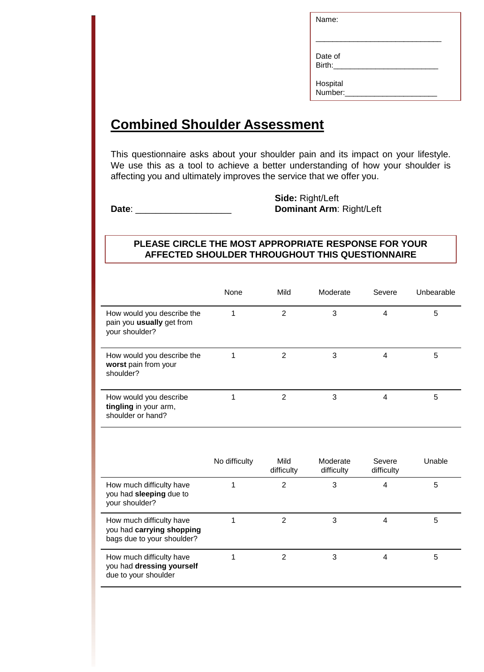| Name:               |  |
|---------------------|--|
|                     |  |
| Date of<br>Birth:   |  |
| Hospital<br>Number: |  |

## **Combined Shoulder Assessment**

This questionnaire asks about your shoulder pain and its impact on your lifestyle. We use this as a tool to achieve a better understanding of how your shoulder is affecting you and ultimately improves the service that we offer you.

**Side:** Right/Left **Date**: \_\_\_\_\_\_\_\_\_\_\_\_\_\_\_\_\_\_\_ **Dominant Arm**: Right/Left

## **PLEASE CIRCLE THE MOST APPROPRIATE RESPONSE FOR YOUR AFFECTED SHOULDER THROUGHOUT THIS QUESTIONNAIRE**

|                                                                                     | None          | Mild               | Moderate               | Severe               | Unbearable |
|-------------------------------------------------------------------------------------|---------------|--------------------|------------------------|----------------------|------------|
| How would you describe the<br>pain you usually get from<br>your shoulder?           | 1             | $\overline{2}$     | 3                      | 4                    | 5          |
| How would you describe the<br>worst pain from your<br>shoulder?                     | 1             | $\overline{2}$     | 3                      | $\overline{4}$       | 5          |
| How would you describe<br>tingling in your arm,<br>shoulder or hand?                | 1             | $\overline{2}$     | 3                      | 4                    | 5          |
|                                                                                     |               |                    |                        |                      |            |
|                                                                                     | No difficulty | Mild<br>difficulty | Moderate<br>difficulty | Severe<br>difficulty | Unable     |
| How much difficulty have<br>you had sleeping due to<br>your shoulder?               | 1             | $\overline{2}$     | 3                      | 4                    | 5          |
| How much difficulty have<br>you had carrying shopping<br>bags due to your shoulder? | 1             | $\overline{2}$     | 3                      | $\overline{4}$       | 5          |
| How much difficulty have<br>you had dressing yourself<br>due to your shoulder       | 1             | $\overline{2}$     | 3                      | 4                    | 5          |